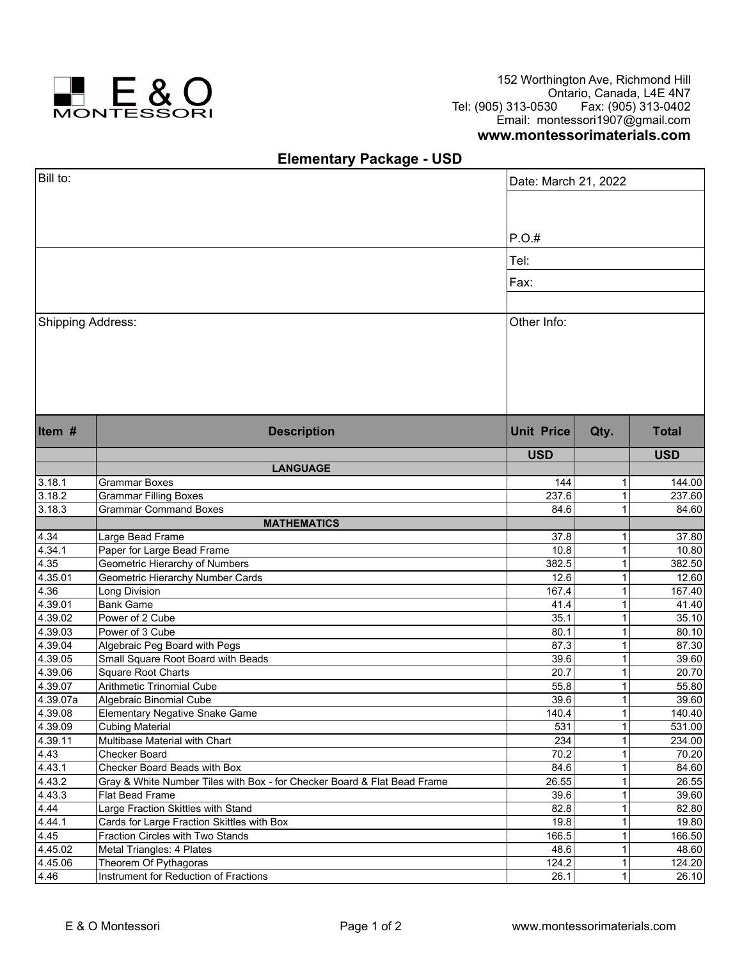

152 Worthington Ave, Richmond Hill Ontario, Canada, L4E 4N7 Tel: (905) 313-0530 Fax: (905) 313-0402 Email: montessori1907@gmail.com

## **www.montessorimaterials.com**

## **Elementary Package - USD**

| Bill to:          |                                                                          |                   | Date: March 21, 2022 |                |  |
|-------------------|--------------------------------------------------------------------------|-------------------|----------------------|----------------|--|
|                   |                                                                          |                   |                      |                |  |
|                   |                                                                          | P.O.#             |                      |                |  |
|                   |                                                                          | Tel:              |                      |                |  |
|                   |                                                                          |                   | Fax:                 |                |  |
|                   |                                                                          |                   |                      |                |  |
|                   |                                                                          |                   |                      |                |  |
| Shipping Address: |                                                                          | Other Info:       |                      |                |  |
| Item #            | <b>Description</b>                                                       | <b>Unit Price</b> | Qty.                 | <b>Total</b>   |  |
|                   |                                                                          | <b>USD</b>        |                      | <b>USD</b>     |  |
|                   | <b>LANGUAGE</b>                                                          |                   |                      |                |  |
| 3.18.1            | Grammar Boxes                                                            | 144               | 1                    | 144.00         |  |
| 3.18.2            | Grammar Filling Boxes                                                    | 237.6             | 1                    | 237.60         |  |
| 3.18.3            | <b>Grammar Command Boxes</b>                                             | 84.6              | 1                    | 84.60          |  |
|                   | <b>MATHEMATICS</b>                                                       |                   |                      |                |  |
| 4.34              | Large Bead Frame                                                         | 37.8              | 1                    | 37.80          |  |
| 4.34.1            | Paper for Large Bead Frame                                               | 10.8              | 1                    | 10.80          |  |
| 4.35              | Geometric Hierarchy of Numbers                                           | 382.5             | 1                    | 382.50         |  |
| 4.35.01           | Geometric Hierarchy Number Cards                                         | 12.6              | 1                    | 12.60          |  |
| 4.36<br>4.39.01   | Long Division<br><b>Bank Game</b>                                        | 167.4             | 1<br>1               | 167.40         |  |
| 4.39.02           | Power of 2 Cube                                                          | 41.4<br>35.1      | $\mathbf{1}$         | 41.40<br>35.10 |  |
| 4.39.03           | Power of 3 Cube                                                          | 80.1              | 1                    | 80.10          |  |
| 4.39.04           | Algebraic Peg Board with Pegs                                            | 87.3              | 1                    | 87.30          |  |
| 4.39.05           | Small Square Root Board with Beads                                       | 39.6              |                      | 39.60          |  |
| 4.39.06           | Square Root Charts                                                       | 20.7              | 1                    | 20.70          |  |
| 4.39.07           | Arithmetic Trinomial Cube                                                | 55.8              | 1                    | 55.80          |  |
| 4.39.07a          | Algebraic Binomial Cube                                                  | 39.6              | $\mathbf{1}$         | 39.60          |  |
| 4.39.08           | <b>Elementary Negative Snake Game</b>                                    | 140.4             | $\mathbf{1}$         | 140.40         |  |
| 4.39.09           | <b>Cubing Material</b>                                                   | 531               | 1                    | 531.00         |  |
| 4.39.11           | Multibase Material with Chart                                            | 234               | 1.                   | 234.00         |  |
| 4.43              | Checker Board                                                            | 70.2              |                      | 70.20          |  |
| 4.43.1            | Checker Board Beads with Box                                             | 84.6              | 1                    | 84.60          |  |
| 4.43.2            | Gray & White Number Tiles with Box - for Checker Board & Flat Bead Frame | 26.55             | 1                    | 26.55          |  |
| 4.43.3            | Flat Bead Frame                                                          | 39.6              | 1                    | 39.60          |  |
| 4.44              | Large Fraction Skittles with Stand                                       | 82.8              | 1                    | 82.80          |  |
| 4.44.1            | Cards for Large Fraction Skittles with Box                               | 19.8              | 1                    | 19.80          |  |
| 4.45              | Fraction Circles with Two Stands                                         | 166.5             | 1                    | 166.50         |  |
| 4.45.02           | Metal Triangles: 4 Plates                                                | 48.6              | 1                    | 48.60          |  |
| 4.45.06           | Theorem Of Pythagoras                                                    | 124.2             | 1                    | 124.20         |  |
| 4.46              | Instrument for Reduction of Fractions                                    | 26.1              | 1                    | 26.10          |  |